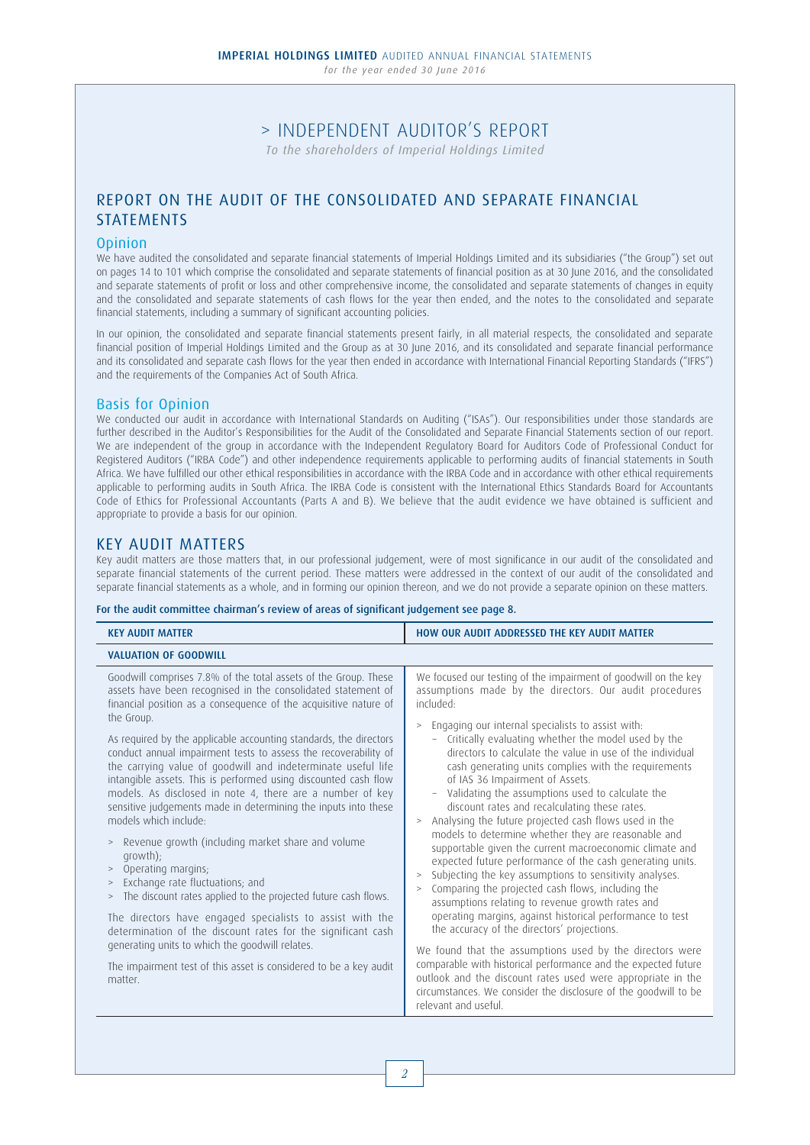*for the year ended 30 June 2016*

# > INDEPENDENT AUDITOR'S REPORT

*To the shareholders of Imperial Holdings Limited*

# REPORT ON THE AUDIT OF THE CONSOLIDATED AND SEPARATE FINANCIAL STATEMENTS

#### **Opinion**

We have audited the consolidated and separate financial statements of Imperial Holdings Limited and its subsidiaries ("the Group") set out on pages 14 to 101 which comprise the consolidated and separate statements of financial position as at 30 June 2016, and the consolidated and separate statements of profit or loss and other comprehensive income, the consolidated and separate statements of changes in equity and the consolidated and separate statements of cash flows for the year then ended, and the notes to the consolidated and separate financial statements, including a summary of significant accounting policies.

In our opinion, the consolidated and separate financial statements present fairly, in all material respects, the consolidated and separate financial position of Imperial Holdings Limited and the Group as at 30 June 2016, and its consolidated and separate financial performance and its consolidated and separate cash flows for the year then ended in accordance with International Financial Reporting Standards ("IFRS") and the requirements of the Companies Act of South Africa.

#### Basis for Opinion

We conducted our audit in accordance with International Standards on Auditing ("ISAs"). Our responsibilities under those standards are further described in the Auditor's Responsibilities for the Audit of the Consolidated and Separate Financial Statements section of our report. We are independent of the group in accordance with the Independent Regulatory Board for Auditors Code of Professional Conduct for Registered Auditors ("IRBA Code") and other independence requirements applicable to performing audits of financial statements in South Africa. We have fulfilled our other ethical responsibilities in accordance with the IRBA Code and in accordance with other ethical requirements applicable to performing audits in South Africa. The IRBA Code is consistent with the International Ethics Standards Board for Accountants Code of Ethics for Professional Accountants (Parts A and B). We believe that the audit evidence we have obtained is sufficient and appropriate to provide a basis for our opinion.

#### KEY AUDIT MATTERS

Key audit matters are those matters that, in our professional judgement, were of most significance in our audit of the consolidated and separate financial statements of the current period. These matters were addressed in the context of our audit of the consolidated and separate financial statements as a whole, and in forming our opinion thereon, and we do not provide a separate opinion on these matters.

#### For the audit committee chairman's review of areas of significant judgement see page 8.

| <b>KEY AUDIT MATTER</b>                                                                                                                                                                                                                                                                                                                                                                                                                                                                                                                                                                                                                                                                                                                                                                                                                                                                                                                                                                                                                                                                                                                       | HOW OUR AUDIT ADDRESSED THE KEY AUDIT MATTER                                                                                                                                                                                                                                                                                                                                                                                                                                                                                                                                                                                                                                                                                                                                                                                                                                                                                                                                                                                                                                                                                                                                                                                                                                                                                                                                    |
|-----------------------------------------------------------------------------------------------------------------------------------------------------------------------------------------------------------------------------------------------------------------------------------------------------------------------------------------------------------------------------------------------------------------------------------------------------------------------------------------------------------------------------------------------------------------------------------------------------------------------------------------------------------------------------------------------------------------------------------------------------------------------------------------------------------------------------------------------------------------------------------------------------------------------------------------------------------------------------------------------------------------------------------------------------------------------------------------------------------------------------------------------|---------------------------------------------------------------------------------------------------------------------------------------------------------------------------------------------------------------------------------------------------------------------------------------------------------------------------------------------------------------------------------------------------------------------------------------------------------------------------------------------------------------------------------------------------------------------------------------------------------------------------------------------------------------------------------------------------------------------------------------------------------------------------------------------------------------------------------------------------------------------------------------------------------------------------------------------------------------------------------------------------------------------------------------------------------------------------------------------------------------------------------------------------------------------------------------------------------------------------------------------------------------------------------------------------------------------------------------------------------------------------------|
| <b>VALUATION OF GOODWILL</b>                                                                                                                                                                                                                                                                                                                                                                                                                                                                                                                                                                                                                                                                                                                                                                                                                                                                                                                                                                                                                                                                                                                  |                                                                                                                                                                                                                                                                                                                                                                                                                                                                                                                                                                                                                                                                                                                                                                                                                                                                                                                                                                                                                                                                                                                                                                                                                                                                                                                                                                                 |
| Goodwill comprises 7.8% of the total assets of the Group. These<br>assets have been recognised in the consolidated statement of<br>financial position as a consequence of the acquisitive nature of<br>the Group.<br>As required by the applicable accounting standards, the directors<br>conduct annual impairment tests to assess the recoverability of<br>the carrying value of goodwill and indeterminate useful life<br>intangible assets. This is performed using discounted cash flow<br>models. As disclosed in note 4, there are a number of key<br>sensitive judgements made in determining the inputs into these<br>models which include:<br>Revenue growth (including market share and volume<br>$\, >$<br>growth);<br>Operating margins;<br>Exchange rate fluctuations; and<br>$\, >$<br>The discount rates applied to the projected future cash flows.<br>$\, >$<br>The directors have engaged specialists to assist with the<br>determination of the discount rates for the significant cash<br>generating units to which the goodwill relates.<br>The impairment test of this asset is considered to be a key audit<br>matter | We focused our testing of the impairment of goodwill on the key<br>assumptions made by the directors. Our audit procedures<br>included:<br>Engaging our internal specialists to assist with:<br>$\, >$<br>Critically evaluating whether the model used by the<br>$-$<br>directors to calculate the value in use of the individual<br>cash generating units complies with the requirements<br>of IAS 36 Impairment of Assets.<br>Validating the assumptions used to calculate the<br>discount rates and recalculating these rates.<br>Analysing the future projected cash flows used in the<br>$\geq$<br>models to determine whether they are reasonable and<br>supportable given the current macroeconomic climate and<br>expected future performance of the cash generating units.<br>Subjecting the key assumptions to sensitivity analyses.<br>$\, >$<br>Comparing the projected cash flows, including the<br>$\geq$<br>assumptions relating to revenue growth rates and<br>operating margins, against historical performance to test<br>the accuracy of the directors' projections.<br>We found that the assumptions used by the directors were<br>comparable with historical performance and the expected future<br>outlook and the discount rates used were appropriate in the<br>circumstances. We consider the disclosure of the goodwill to be<br>relevant and useful. |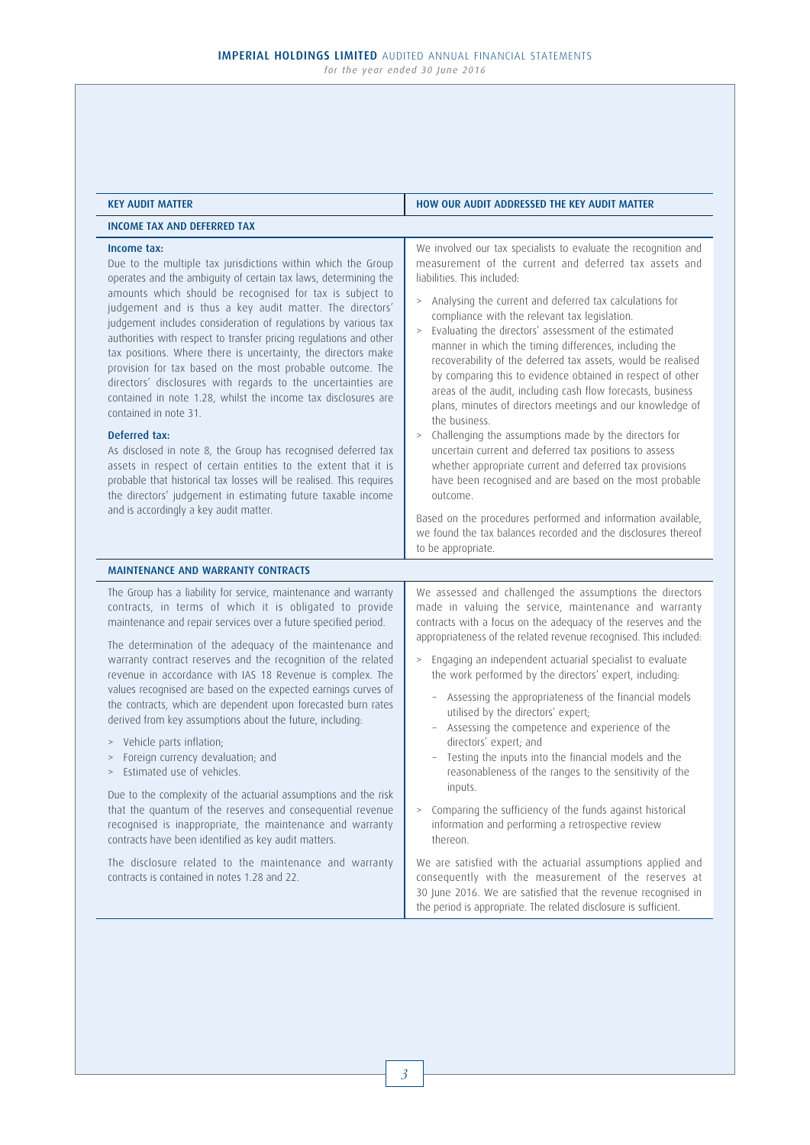| <b>KEY AUDIT MATTER</b>                                                                                                                                                                                                                                                                                                                                                                                                                                                                                                                                                                                                                                                                                                                                                                                                                                                                                                                                                                                                                     | HOW OUR AUDIT ADDRESSED THE KEY AUDIT MATTER                                                                                                                                                                                                                                                                                                                                                                                                                                                                                                                                                                                                                                                                                                                                                                                                                                                                                                                                                                                                                                               |
|---------------------------------------------------------------------------------------------------------------------------------------------------------------------------------------------------------------------------------------------------------------------------------------------------------------------------------------------------------------------------------------------------------------------------------------------------------------------------------------------------------------------------------------------------------------------------------------------------------------------------------------------------------------------------------------------------------------------------------------------------------------------------------------------------------------------------------------------------------------------------------------------------------------------------------------------------------------------------------------------------------------------------------------------|--------------------------------------------------------------------------------------------------------------------------------------------------------------------------------------------------------------------------------------------------------------------------------------------------------------------------------------------------------------------------------------------------------------------------------------------------------------------------------------------------------------------------------------------------------------------------------------------------------------------------------------------------------------------------------------------------------------------------------------------------------------------------------------------------------------------------------------------------------------------------------------------------------------------------------------------------------------------------------------------------------------------------------------------------------------------------------------------|
| <b>INCOME TAX AND DEFERRED TAX</b>                                                                                                                                                                                                                                                                                                                                                                                                                                                                                                                                                                                                                                                                                                                                                                                                                                                                                                                                                                                                          |                                                                                                                                                                                                                                                                                                                                                                                                                                                                                                                                                                                                                                                                                                                                                                                                                                                                                                                                                                                                                                                                                            |
| Income tax:<br>Due to the multiple tax jurisdictions within which the Group<br>operates and the ambiguity of certain tax laws, determining the<br>amounts which should be recognised for tax is subject to<br>judgement and is thus a key audit matter. The directors'<br>judgement includes consideration of regulations by various tax<br>authorities with respect to transfer pricing regulations and other<br>tax positions. Where there is uncertainty, the directors make<br>provision for tax based on the most probable outcome. The<br>directors' disclosures with regards to the uncertainties are<br>contained in note 1.28, whilst the income tax disclosures are<br>contained in note 31.<br>Deferred tax:<br>As disclosed in note 8, the Group has recognised deferred tax<br>assets in respect of certain entities to the extent that it is<br>probable that historical tax losses will be realised. This requires<br>the directors' judgement in estimating future taxable income<br>and is accordingly a key audit matter. | We involved our tax specialists to evaluate the recognition and<br>measurement of the current and deferred tax assets and<br>liabilities. This included:<br>> Analysing the current and deferred tax calculations for<br>compliance with the relevant tax legislation.<br>Evaluating the directors' assessment of the estimated<br>manner in which the timing differences, including the<br>recoverability of the deferred tax assets, would be realised<br>by comparing this to evidence obtained in respect of other<br>areas of the audit, including cash flow forecasts, business<br>plans, minutes of directors meetings and our knowledge of<br>the business.<br>Challenging the assumptions made by the directors for<br>$\, >$<br>uncertain current and deferred tax positions to assess<br>whether appropriate current and deferred tax provisions<br>have been recognised and are based on the most probable<br>outcome.<br>Based on the procedures performed and information available,<br>we found the tax balances recorded and the disclosures thereof<br>to be appropriate. |
| <b>MAINTENANCE AND WARRANTY CONTRACTS</b>                                                                                                                                                                                                                                                                                                                                                                                                                                                                                                                                                                                                                                                                                                                                                                                                                                                                                                                                                                                                   |                                                                                                                                                                                                                                                                                                                                                                                                                                                                                                                                                                                                                                                                                                                                                                                                                                                                                                                                                                                                                                                                                            |
| The Group has a liability for service, maintenance and warranty<br>contracts, in terms of which it is obligated to provide<br>maintenance and repair services over a future specified period.<br>The determination of the adequacy of the maintenance and<br>warranty contract reserves and the recognition of the related<br>revenue in accordance with IAS 18 Revenue is complex. The<br>values recognised are based on the expected earnings curves of<br>the contracts, which are dependent upon forecasted burn rates<br>derived from key assumptions about the future, including:<br>> Vehicle parts inflation;<br>Foreign currency devaluation; and<br>$\,$<br>Estimated use of vehicles.<br>Due to the complexity of the actuarial assumptions and the risk<br>that the quantum of the reserves and consequential revenue<br>recognised is inappropriate, the maintenance and warranty<br>contracts have been identified as key audit matters.                                                                                      | We assessed and challenged the assumptions the directors<br>made in valuing the service, maintenance and warranty<br>contracts with a focus on the adequacy of the reserves and the<br>appropriateness of the related revenue recognised. This included:<br>> Engaging an independent actuarial specialist to evaluate<br>the work performed by the directors' expert, including:<br>Assessing the appropriateness of the financial models<br>utilised by the directors' expert;<br>- Assessing the competence and experience of the<br>directors' expert; and<br>Testing the inputs into the financial models and the<br>reasonableness of the ranges to the sensitivity of the<br>inputs.<br>Comparing the sufficiency of the funds against historical<br>$\, >$<br>information and performing a retrospective review<br>thereon.                                                                                                                                                                                                                                                        |
| The disclosure related to the maintenance and warranty<br>contracts is contained in notes 1.28 and 22.                                                                                                                                                                                                                                                                                                                                                                                                                                                                                                                                                                                                                                                                                                                                                                                                                                                                                                                                      | We are satisfied with the actuarial assumptions applied and<br>consequently with the measurement of the reserves at<br>30 June 2016. We are satisfied that the revenue recognised in<br>the period is appropriate. The related disclosure is sufficient.                                                                                                                                                                                                                                                                                                                                                                                                                                                                                                                                                                                                                                                                                                                                                                                                                                   |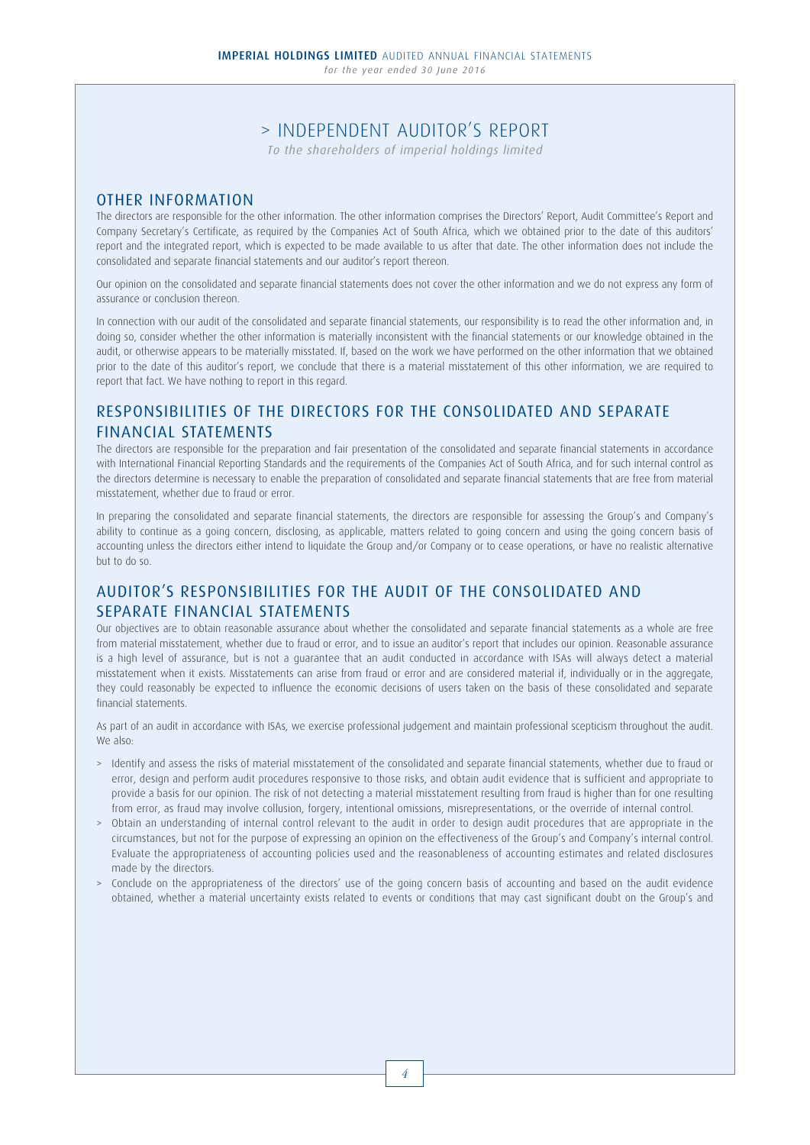## > INDEPENDENT AUDITOR'S REPORT

*To the shareholders of imperial holdings limited*

### OTHER INFORMATION

The directors are responsible for the other information. The other information comprises the Directors' Report, Audit Committee's Report and Company Secretary's Certificate, as required by the Companies Act of South Africa, which we obtained prior to the date of this auditors' report and the integrated report, which is expected to be made available to us after that date. The other information does not include the consolidated and separate financial statements and our auditor's report thereon.

Our opinion on the consolidated and separate financial statements does not cover the other information and we do not express any form of assurance or conclusion thereon.

In connection with our audit of the consolidated and separate financial statements, our responsibility is to read the other information and, in doing so, consider whether the other information is materially inconsistent with the financial statements or our knowledge obtained in the audit, or otherwise appears to be materially misstated. If, based on the work we have performed on the other information that we obtained prior to the date of this auditor's report, we conclude that there is a material misstatement of this other information, we are required to report that fact. We have nothing to report in this regard.

## RESPONSIBILITIES OF THE DIRECTORS FOR THE CONSOLIDATED AND SEPARATE FINANCIAL STATEMENTS

The directors are responsible for the preparation and fair presentation of the consolidated and separate financial statements in accordance with International Financial Reporting Standards and the requirements of the Companies Act of South Africa, and for such internal control as the directors determine is necessary to enable the preparation of consolidated and separate financial statements that are free from material misstatement, whether due to fraud or error.

In preparing the consolidated and separate financial statements, the directors are responsible for assessing the Group's and Company's ability to continue as a going concern, disclosing, as applicable, matters related to going concern and using the going concern basis of accounting unless the directors either intend to liquidate the Group and/or Company or to cease operations, or have no realistic alternative but to do so.

# AUDITOR'S RESPONSIBILITIES FOR THE AUDIT OF THE CONSOLIDATED AND SEPARATE FINANCIAL STATEMENTS

Our objectives are to obtain reasonable assurance about whether the consolidated and separate financial statements as a whole are free from material misstatement, whether due to fraud or error, and to issue an auditor's report that includes our opinion. Reasonable assurance is a high level of assurance, but is not a guarantee that an audit conducted in accordance with ISAs will always detect a material misstatement when it exists. Misstatements can arise from fraud or error and are considered material if, individually or in the aggregate, they could reasonably be expected to influence the economic decisions of users taken on the basis of these consolidated and separate financial statements.

As part of an audit in accordance with ISAs, we exercise professional judgement and maintain professional scepticism throughout the audit. We also:

- > Identify and assess the risks of material misstatement of the consolidated and separate financial statements, whether due to fraud or error, design and perform audit procedures responsive to those risks, and obtain audit evidence that is sufficient and appropriate to provide a basis for our opinion. The risk of not detecting a material misstatement resulting from fraud is higher than for one resulting from error, as fraud may involve collusion, forgery, intentional omissions, misrepresentations, or the override of internal control.
- > Obtain an understanding of internal control relevant to the audit in order to design audit procedures that are appropriate in the circumstances, but not for the purpose of expressing an opinion on the effectiveness of the Group's and Company's internal control. Evaluate the appropriateness of accounting policies used and the reasonableness of accounting estimates and related disclosures made by the directors.
- > Conclude on the appropriateness of the directors' use of the going concern basis of accounting and based on the audit evidence obtained, whether a material uncertainty exists related to events or conditions that may cast significant doubt on the Group's and